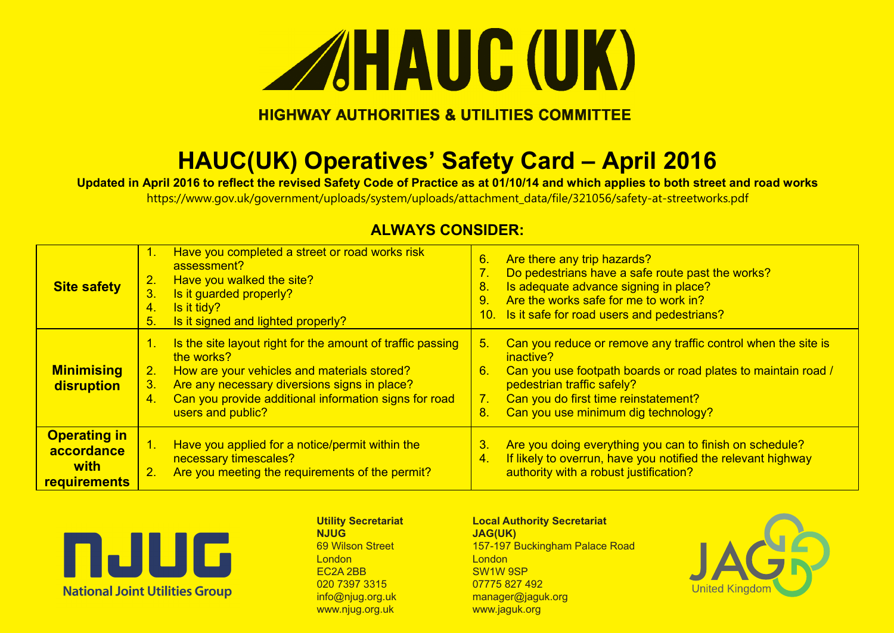

### **HIGHWAY AUTHORITIES & UTILITIES COMMITTEE**

# **HAUC(UK) Operatives' Safety Card – April 2016**

**Updated in April 2016 to reflect the revised Safety Code of Practice as at 01/10/14 and which applies to both street and road works** 

https://www.gov.uk/government/uploads/system/uploads/attachment\_data/file/321056/safety-at-streetworks.pdf

| <b>Site safety</b>                                               | 1.<br>2.<br>3.<br>4.<br>5.       | Have you completed a street or road works risk<br>assessment?<br>Have you walked the site?<br>Is it guarded properly?<br>Is it tidy?<br>Is it signed and lighted properly?                                                                            | 6.<br>7.<br>8.<br>9.<br>10. | Are there any trip hazards?<br>Do pedestrians have a safe route past the works?<br>Is adequate advance signing in place?<br>Are the works safe for me to work in?<br>Is it safe for road users and pedestrians?                                          |
|------------------------------------------------------------------|----------------------------------|-------------------------------------------------------------------------------------------------------------------------------------------------------------------------------------------------------------------------------------------------------|-----------------------------|----------------------------------------------------------------------------------------------------------------------------------------------------------------------------------------------------------------------------------------------------------|
| <b>Minimising</b><br>disruption                                  | $\mathbf{1}$ .<br>2.<br>3.<br>4. | Is the site layout right for the amount of traffic passing<br>the works?<br>How are your vehicles and materials stored?<br>Are any necessary diversions signs in place?<br>Can you provide additional information signs for road<br>users and public? | -5.<br>6.<br>7.<br>8.       | Can you reduce or remove any traffic control when the site is<br>inactive?<br>Can you use footpath boards or road plates to maintain road /<br>pedestrian traffic safely?<br>Can you do first time reinstatement?<br>Can you use minimum dig technology? |
| <b>Operating in</b><br>accordance<br>with<br><b>requirements</b> | 1.<br>2.                         | Have you applied for a notice/permit within the<br>necessary timescales?<br>Are you meeting the requirements of the permit?                                                                                                                           | 3.<br>4.                    | Are you doing everything you can to finish on schedule?<br>If likely to overrun, have you notified the relevant highway<br>authority with a robust justification?                                                                                        |

### **ALWAYS CONSIDER:**



**Utility Secretariat NJUG** 69 Wilson Street London EC2A 2BB 020 7397 3315 info@njug.org.uk www.njug.org.uk

#### **Local Authority Secretariat JAG(UK)** 157-197 Buckingham Palace Road

**London** SW1W 9SP 07775 827 492 manager@jaguk.org www.jaguk.org